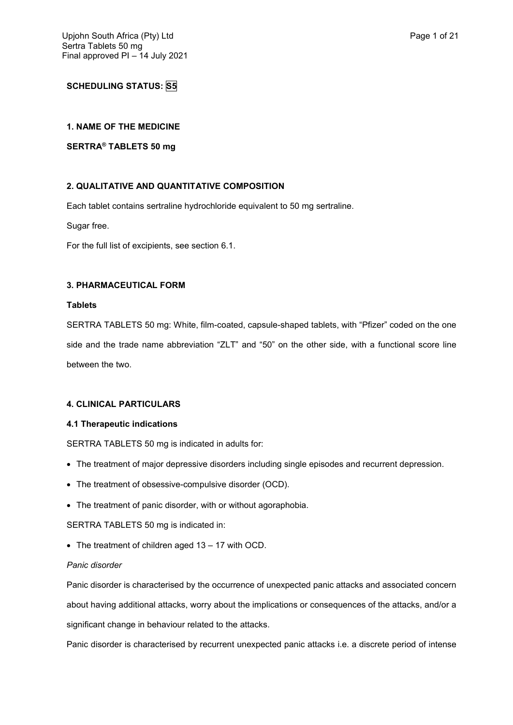# **SCHEDULING STATUS: S5**

## **1. NAME OF THE MEDICINE**

## **SERTRA® TABLETS 50 mg**

# **2. QUALITATIVE AND QUANTITATIVE COMPOSITION**

Each tablet contains sertraline hydrochloride equivalent to 50 mg sertraline.

Sugar free.

For the full list of excipients, see section 6.1.

## **3. PHARMACEUTICAL FORM**

### **Tablets**

SERTRA TABLETS 50 mg: White, film-coated, capsule-shaped tablets, with "Pfizer" coded on the one side and the trade name abbreviation "ZLT" and "50" on the other side, with a functional score line between the two.

## **4. CLINICAL PARTICULARS**

## **4.1 Therapeutic indications**

SERTRA TABLETS 50 mg is indicated in adults for:

- The treatment of major depressive disorders including single episodes and recurrent depression.
- The treatment of obsessive-compulsive disorder (OCD).
- The treatment of panic disorder, with or without agoraphobia.

SERTRA TABLETS 50 mg is indicated in:

The treatment of children aged 13 – 17 with OCD.

## *Panic disorder*

Panic disorder is characterised by the occurrence of unexpected panic attacks and associated concern about having additional attacks, worry about the implications or consequences of the attacks, and/or a significant change in behaviour related to the attacks.

Panic disorder is characterised by recurrent unexpected panic attacks i.e. a discrete period of intense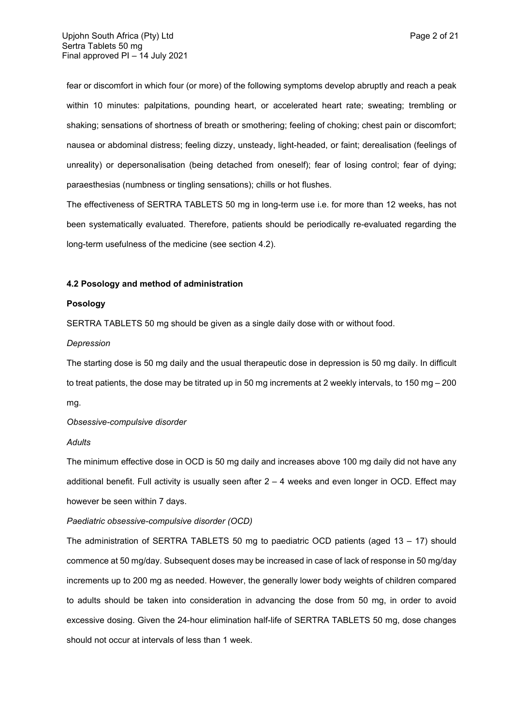fear or discomfort in which four (or more) of the following symptoms develop abruptly and reach a peak within 10 minutes: palpitations, pounding heart, or accelerated heart rate; sweating; trembling or shaking; sensations of shortness of breath or smothering; feeling of choking; chest pain or discomfort; nausea or abdominal distress; feeling dizzy, unsteady, light-headed, or faint; derealisation (feelings of unreality) or depersonalisation (being detached from oneself); fear of losing control; fear of dying; paraesthesias (numbness or tingling sensations); chills or hot flushes.

The effectiveness of SERTRA TABLETS 50 mg in long-term use i.e. for more than 12 weeks, has not been systematically evaluated. Therefore, patients should be periodically re-evaluated regarding the long-term usefulness of the medicine (see section 4.2).

### **4.2 Posology and method of administration**

### **Posology**

SERTRA TABLETS 50 mg should be given as a single daily dose with or without food.

### *Depression*

The starting dose is 50 mg daily and the usual therapeutic dose in depression is 50 mg daily. In difficult to treat patients, the dose may be titrated up in 50 mg increments at 2 weekly intervals, to 150 mg – 200 mg.

#### *Obsessive-compulsive disorder*

#### *Adults*

The minimum effective dose in OCD is 50 mg daily and increases above 100 mg daily did not have any additional benefit. Full activity is usually seen after 2 – 4 weeks and even longer in OCD. Effect may however be seen within 7 days.

## *Paediatric obsessive-compulsive disorder (OCD)*

The administration of SERTRA TABLETS 50 mg to paediatric OCD patients (aged  $13 - 17$ ) should commence at 50 mg/day. Subsequent doses may be increased in case of lack of response in 50 mg/day increments up to 200 mg as needed. However, the generally lower body weights of children compared to adults should be taken into consideration in advancing the dose from 50 mg, in order to avoid excessive dosing. Given the 24-hour elimination half-life of SERTRA TABLETS 50 mg, dose changes should not occur at intervals of less than 1 week.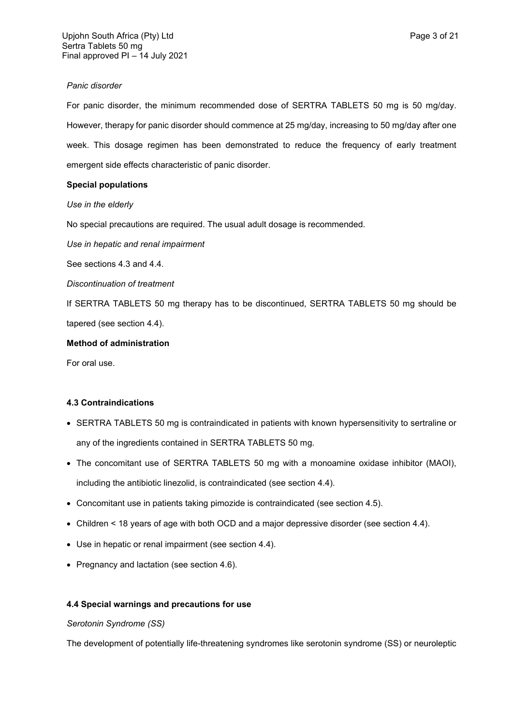## *Panic disorder*

For panic disorder, the minimum recommended dose of SERTRA TABLETS 50 mg is 50 mg/day. However, therapy for panic disorder should commence at 25 mg/day, increasing to 50 mg/day after one week. This dosage regimen has been demonstrated to reduce the frequency of early treatment emergent side effects characteristic of panic disorder.

# **Special populations**

*Use in the elderly*

No special precautions are required. The usual adult dosage is recommended.

*Use in hepatic and renal impairment*

See sections 4.3 and 4.4.

*Discontinuation of treatment*

If SERTRA TABLETS 50 mg therapy has to be discontinued, SERTRA TABLETS 50 mg should be tapered (see section 4.4).

## **Method of administration**

For oral use.

# **4.3 Contraindications**

- SERTRA TABLETS 50 mg is contraindicated in patients with known hypersensitivity to sertraline or any of the ingredients contained in SERTRA TABLETS 50 mg.
- The concomitant use of SERTRA TABLETS 50 mg with a monoamine oxidase inhibitor (MAOI), including the antibiotic linezolid, is contraindicated (see section 4.4).
- Concomitant use in patients taking pimozide is contraindicated (see section 4.5).
- Children < 18 years of age with both OCD and a major depressive disorder (see section 4.4).
- Use in hepatic or renal impairment (see section 4.4).
- Pregnancy and lactation (see section 4.6).

# **4.4 Special warnings and precautions for use**

## *Serotonin Syndrome (SS)*

The development of potentially life-threatening syndromes like serotonin syndrome (SS) or neuroleptic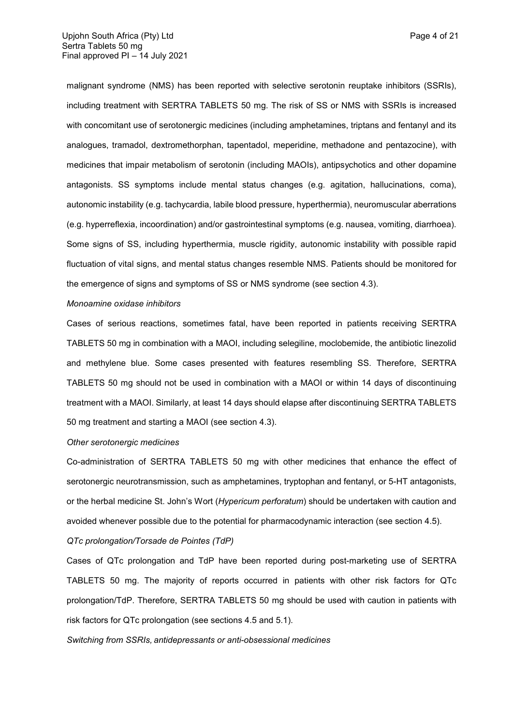malignant syndrome (NMS) has been reported with selective serotonin reuptake inhibitors (SSRIs), including treatment with SERTRA TABLETS 50 mg. The risk of SS or NMS with SSRIs is increased with concomitant use of serotonergic medicines (including amphetamines, triptans and fentanyl and its analogues, tramadol, dextromethorphan, tapentadol, meperidine, methadone and pentazocine), with medicines that impair metabolism of serotonin (including MAOIs), antipsychotics and other dopamine antagonists. SS symptoms include mental status changes (e.g. agitation, hallucinations, coma), autonomic instability (e.g. tachycardia, labile blood pressure, hyperthermia), neuromuscular aberrations (e.g. hyperreflexia, incoordination) and/or gastrointestinal symptoms (e.g. nausea, vomiting, diarrhoea). Some signs of SS, including hyperthermia, muscle rigidity, autonomic instability with possible rapid fluctuation of vital signs, and mental status changes resemble NMS. Patients should be monitored for the emergence of signs and symptoms of SS or NMS syndrome (see section 4.3).

#### *Monoamine oxidase inhibitors*

Cases of serious reactions, sometimes fatal, have been reported in patients receiving SERTRA TABLETS 50 mg in combination with a MAOI, including selegiline, moclobemide, the antibiotic linezolid and methylene blue. Some cases presented with features resembling SS. Therefore, SERTRA TABLETS 50 mg should not be used in combination with a MAOI or within 14 days of discontinuing treatment with a MAOI. Similarly, at least 14 days should elapse after discontinuing SERTRA TABLETS 50 mg treatment and starting a MAOI (see section 4.3).

### *Other serotonergic medicines*

Co-administration of SERTRA TABLETS 50 mg with other medicines that enhance the effect of serotonergic neurotransmission, such as amphetamines, tryptophan and fentanyl, or 5-HT antagonists, or the herbal medicine St. John's Wort (*Hypericum perforatum*) should be undertaken with caution and avoided whenever possible due to the potential for pharmacodynamic interaction (see section 4.5).

### *QTc prolongation/Torsade de Pointes (TdP)*

Cases of QTc prolongation and TdP have been reported during post-marketing use of SERTRA TABLETS 50 mg. The majority of reports occurred in patients with other risk factors for QTc prolongation/TdP. Therefore, SERTRA TABLETS 50 mg should be used with caution in patients with risk factors for QTc prolongation (see sections 4.5 and 5.1).

*Switching from SSRIs, antidepressants or anti-obsessional medicines*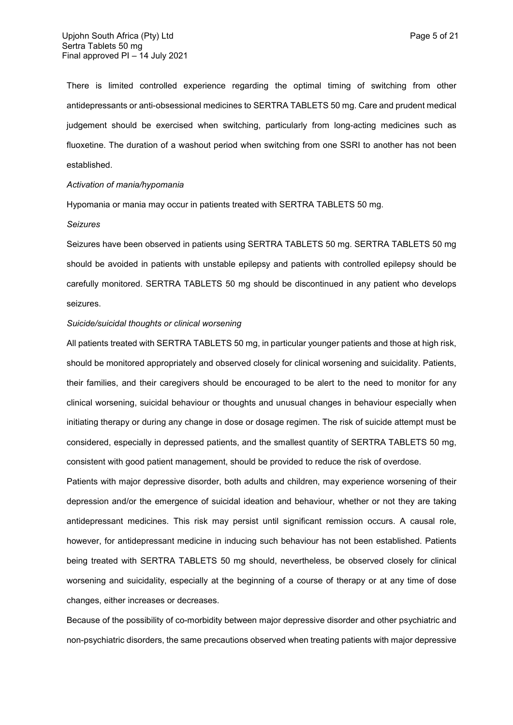There is limited controlled experience regarding the optimal timing of switching from other antidepressants or anti-obsessional medicines to SERTRA TABLETS 50 mg. Care and prudent medical judgement should be exercised when switching, particularly from long-acting medicines such as fluoxetine. The duration of a washout period when switching from one SSRI to another has not been established.

### *Activation of mania/hypomania*

Hypomania or mania may occur in patients treated with SERTRA TABLETS 50 mg.

#### *Seizures*

Seizures have been observed in patients using SERTRA TABLETS 50 mg. SERTRA TABLETS 50 mg should be avoided in patients with unstable epilepsy and patients with controlled epilepsy should be carefully monitored. SERTRA TABLETS 50 mg should be discontinued in any patient who develops seizures.

#### *Suicide/suicidal thoughts or clinical worsening*

All patients treated with SERTRA TABLETS 50 mg, in particular younger patients and those at high risk, should be monitored appropriately and observed closely for clinical worsening and suicidality. Patients, their families, and their caregivers should be encouraged to be alert to the need to monitor for any clinical worsening, suicidal behaviour or thoughts and unusual changes in behaviour especially when initiating therapy or during any change in dose or dosage regimen. The risk of suicide attempt must be considered, especially in depressed patients, and the smallest quantity of SERTRA TABLETS 50 mg, consistent with good patient management, should be provided to reduce the risk of overdose.

Patients with major depressive disorder, both adults and children, may experience worsening of their depression and/or the emergence of suicidal ideation and behaviour, whether or not they are taking antidepressant medicines. This risk may persist until significant remission occurs. A causal role, however, for antidepressant medicine in inducing such behaviour has not been established. Patients being treated with SERTRA TABLETS 50 mg should, nevertheless, be observed closely for clinical worsening and suicidality, especially at the beginning of a course of therapy or at any time of dose changes, either increases or decreases.

Because of the possibility of co-morbidity between major depressive disorder and other psychiatric and non-psychiatric disorders, the same precautions observed when treating patients with major depressive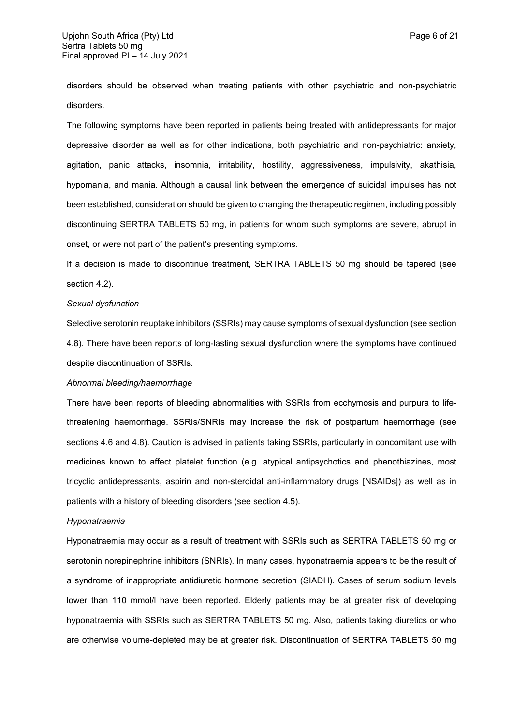disorders should be observed when treating patients with other psychiatric and non-psychiatric disorders.

The following symptoms have been reported in patients being treated with antidepressants for major depressive disorder as well as for other indications, both psychiatric and non-psychiatric: anxiety, agitation, panic attacks, insomnia, irritability, hostility, aggressiveness, impulsivity, akathisia, hypomania, and mania. Although a causal link between the emergence of suicidal impulses has not been established, consideration should be given to changing the therapeutic regimen, including possibly discontinuing SERTRA TABLETS 50 mg, in patients for whom such symptoms are severe, abrupt in onset, or were not part of the patient's presenting symptoms.

If a decision is made to discontinue treatment, SERTRA TABLETS 50 mg should be tapered (see section 4.2).

#### *Sexual dysfunction*

Selective serotonin reuptake inhibitors (SSRIs) may cause symptoms of sexual dysfunction (see section 4.8). There have been reports of long-lasting sexual dysfunction where the symptoms have continued despite discontinuation of SSRIs.

# *Abnormal bleeding/haemorrhage*

There have been reports of bleeding abnormalities with SSRIs from ecchymosis and purpura to lifethreatening haemorrhage. SSRIs/SNRIs may increase the risk of postpartum haemorrhage (see sections 4.6 and 4.8). Caution is advised in patients taking SSRIs, particularly in concomitant use with medicines known to affect platelet function (e.g. atypical antipsychotics and phenothiazines, most tricyclic antidepressants, aspirin and non-steroidal anti-inflammatory drugs [NSAIDs]) as well as in patients with a history of bleeding disorders (see section 4.5).

#### *Hyponatraemia*

Hyponatraemia may occur as a result of treatment with SSRIs such as SERTRA TABLETS 50 mg or serotonin norepinephrine inhibitors (SNRIs). In many cases, hyponatraemia appears to be the result of a syndrome of inappropriate antidiuretic hormone secretion (SIADH). Cases of serum sodium levels lower than 110 mmol/l have been reported. Elderly patients may be at greater risk of developing hyponatraemia with SSRIs such as SERTRA TABLETS 50 mg. Also, patients taking diuretics or who are otherwise volume-depleted may be at greater risk. Discontinuation of SERTRA TABLETS 50 mg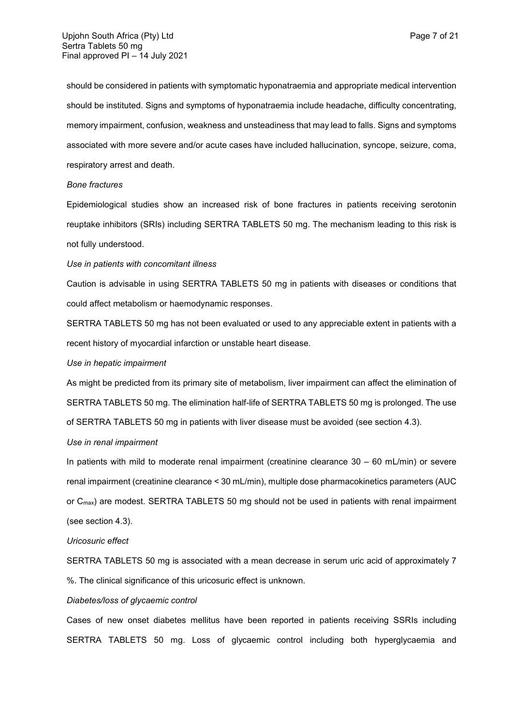should be considered in patients with symptomatic hyponatraemia and appropriate medical intervention should be instituted. Signs and symptoms of hyponatraemia include headache, difficulty concentrating, memory impairment, confusion, weakness and unsteadiness that may lead to falls. Signs and symptoms associated with more severe and/or acute cases have included hallucination, syncope, seizure, coma, respiratory arrest and death.

#### *Bone fractures*

Epidemiological studies show an increased risk of bone fractures in patients receiving serotonin reuptake inhibitors (SRIs) including SERTRA TABLETS 50 mg. The mechanism leading to this risk is not fully understood.

#### *Use in patients with concomitant illness*

Caution is advisable in using SERTRA TABLETS 50 mg in patients with diseases or conditions that could affect metabolism or haemodynamic responses.

SERTRA TABLETS 50 mg has not been evaluated or used to any appreciable extent in patients with a recent history of myocardial infarction or unstable heart disease.

## *Use in hepatic impairment*

As might be predicted from its primary site of metabolism, liver impairment can affect the elimination of SERTRA TABLETS 50 mg. The elimination half-life of SERTRA TABLETS 50 mg is prolonged. The use of SERTRA TABLETS 50 mg in patients with liver disease must be avoided (see section 4.3).

#### *Use in renal impairment*

In patients with mild to moderate renal impairment (creatinine clearance 30 – 60 mL/min) or severe renal impairment (creatinine clearance < 30 mL/min), multiple dose pharmacokinetics parameters (AUC or C<sub>max</sub>) are modest. SERTRA TABLETS 50 mg should not be used in patients with renal impairment (see section 4.3).

### *Uricosuric effect*

SERTRA TABLETS 50 mg is associated with a mean decrease in serum uric acid of approximately 7 %. The clinical significance of this uricosuric effect is unknown.

## *Diabetes/loss of glycaemic control*

Cases of new onset diabetes mellitus have been reported in patients receiving SSRIs including SERTRA TABLETS 50 mg. Loss of glycaemic control including both hyperglycaemia and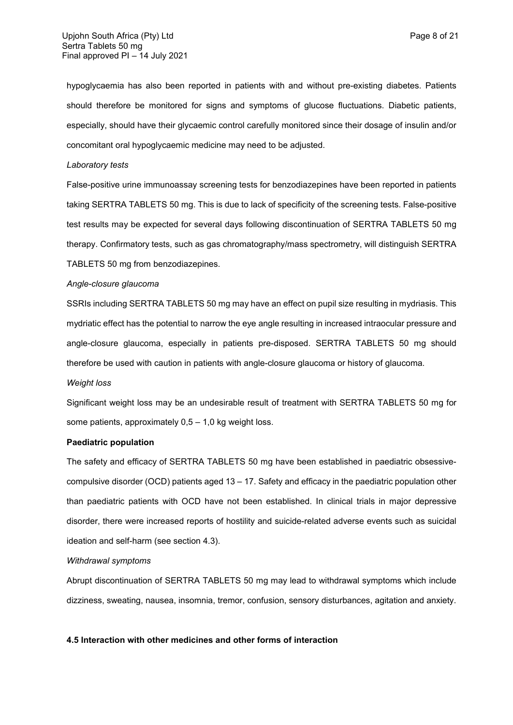hypoglycaemia has also been reported in patients with and without pre-existing diabetes. Patients should therefore be monitored for signs and symptoms of glucose fluctuations. Diabetic patients, especially, should have their glycaemic control carefully monitored since their dosage of insulin and/or concomitant oral hypoglycaemic medicine may need to be adjusted.

### *Laboratory tests*

False-positive urine immunoassay screening tests for benzodiazepines have been reported in patients taking SERTRA TABLETS 50 mg. This is due to lack of specificity of the screening tests. False-positive test results may be expected for several days following discontinuation of SERTRA TABLETS 50 mg therapy. Confirmatory tests, such as gas chromatography/mass spectrometry, will distinguish SERTRA TABLETS 50 mg from benzodiazepines.

#### *Angle-closure glaucoma*

SSRIs including SERTRA TABLETS 50 mg may have an effect on pupil size resulting in mydriasis. This mydriatic effect has the potential to narrow the eye angle resulting in increased intraocular pressure and angle-closure glaucoma, especially in patients pre-disposed. SERTRA TABLETS 50 mg should therefore be used with caution in patients with angle-closure glaucoma or history of glaucoma*.*

### *Weight loss*

Significant weight loss may be an undesirable result of treatment with SERTRA TABLETS 50 mg for some patients, approximately  $0.5 - 1.0$  kg weight loss.

### **Paediatric population**

The safety and efficacy of SERTRA TABLETS 50 mg have been established in paediatric obsessivecompulsive disorder (OCD) patients aged 13 – 17. Safety and efficacy in the paediatric population other than paediatric patients with OCD have not been established. In clinical trials in major depressive disorder, there were increased reports of hostility and suicide-related adverse events such as suicidal ideation and self-harm (see section 4.3).

## *Withdrawal symptoms*

Abrupt discontinuation of SERTRA TABLETS 50 mg may lead to withdrawal symptoms which include dizziness, sweating, nausea, insomnia, tremor, confusion, sensory disturbances, agitation and anxiety.

### **4.5 Interaction with other medicines and other forms of interaction**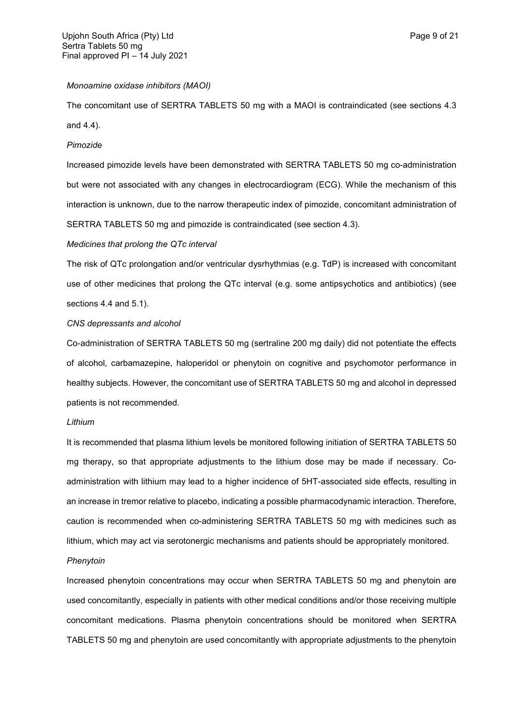## *Monoamine oxidase inhibitors (MAOI)*

The concomitant use of SERTRA TABLETS 50 mg with a MAOI is contraindicated (see sections 4.3 and 4.4).

### *Pimozide*

Increased pimozide levels have been demonstrated with SERTRA TABLETS 50 mg co-administration but were not associated with any changes in electrocardiogram (ECG). While the mechanism of this interaction is unknown, due to the narrow therapeutic index of pimozide, concomitant administration of SERTRA TABLETS 50 mg and pimozide is contraindicated (see section 4.3).

### *Medicines that prolong the QTc interval*

The risk of QTc prolongation and/or ventricular dysrhythmias (e.g. TdP) is increased with concomitant use of other medicines that prolong the QTc interval (e.g. some antipsychotics and antibiotics) (see sections 4.4 and 5.1).

#### *CNS depressants and alcohol*

Co-administration of SERTRA TABLETS 50 mg (sertraline 200 mg daily) did not potentiate the effects of alcohol, carbamazepine, haloperidol or phenytoin on cognitive and psychomotor performance in healthy subjects. However, the concomitant use of SERTRA TABLETS 50 mg and alcohol in depressed patients is not recommended.

#### *Lithium*

It is recommended that plasma lithium levels be monitored following initiation of SERTRA TABLETS 50 mg therapy, so that appropriate adjustments to the lithium dose may be made if necessary. Coadministration with lithium may lead to a higher incidence of 5HT-associated side effects, resulting in an increase in tremor relative to placebo, indicating a possible pharmacodynamic interaction. Therefore, caution is recommended when co-administering SERTRA TABLETS 50 mg with medicines such as lithium, which may act via serotonergic mechanisms and patients should be appropriately monitored.

## *Phenytoin*

Increased phenytoin concentrations may occur when SERTRA TABLETS 50 mg and phenytoin are used concomitantly, especially in patients with other medical conditions and/or those receiving multiple concomitant medications. Plasma phenytoin concentrations should be monitored when SERTRA TABLETS 50 mg and phenytoin are used concomitantly with appropriate adjustments to the phenytoin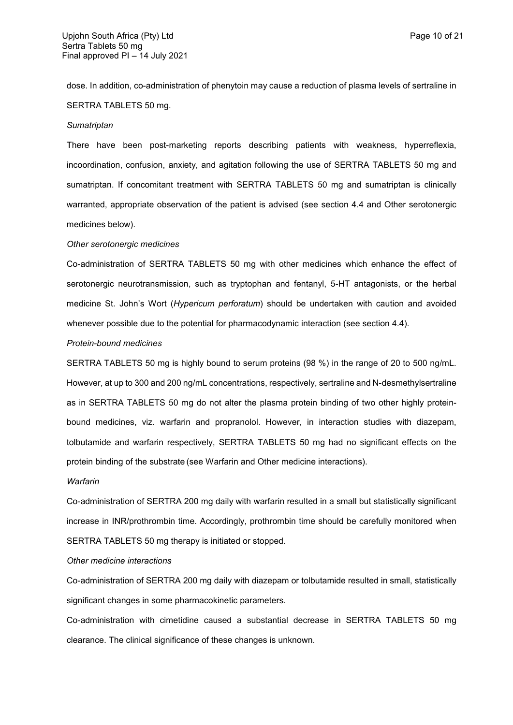dose. In addition, co-administration of phenytoin may cause a reduction of plasma levels of sertraline in SERTRA TABLETS 50 mg.

#### *Sumatriptan*

There have been post-marketing reports describing patients with weakness, hyperreflexia, incoordination, confusion, anxiety, and agitation following the use of SERTRA TABLETS 50 mg and sumatriptan. If concomitant treatment with SERTRA TABLETS 50 mg and sumatriptan is clinically warranted, appropriate observation of the patient is advised (see section 4.4 and Other serotonergic medicines below).

### *Other serotonergic medicines*

Co-administration of SERTRA TABLETS 50 mg with other medicines which enhance the effect of serotonergic neurotransmission, such as tryptophan and fentanyl, 5-HT antagonists, or the herbal medicine St. John's Wort (*Hypericum perforatum*) should be undertaken with caution and avoided whenever possible due to the potential for pharmacodynamic interaction (see section 4.4).

### *Protein-bound medicines*

SERTRA TABLETS 50 mg is highly bound to serum proteins (98 %) in the range of 20 to 500 ng/mL. However, at up to 300 and 200 ng/mL concentrations, respectively, sertraline and N-desmethylsertraline as in SERTRA TABLETS 50 mg do not alter the plasma protein binding of two other highly proteinbound medicines, viz. warfarin and propranolol. However, in interaction studies with diazepam, tolbutamide and warfarin respectively, SERTRA TABLETS 50 mg had no significant effects on the protein binding of the substrate (see Warfarin and Other medicine interactions).

### *Warfarin*

Co-administration of SERTRA 200 mg daily with warfarin resulted in a small but statistically significant increase in INR/prothrombin time. Accordingly, prothrombin time should be carefully monitored when SERTRA TABLETS 50 mg therapy is initiated or stopped.

### *Other medicine interactions*

Co-administration of SERTRA 200 mg daily with diazepam or tolbutamide resulted in small, statistically significant changes in some pharmacokinetic parameters.

Co-administration with cimetidine caused a substantial decrease in SERTRA TABLETS 50 mg clearance. The clinical significance of these changes is unknown.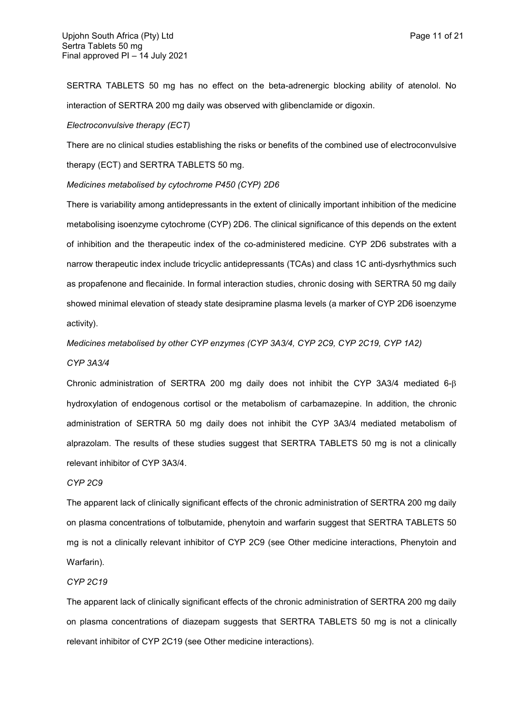SERTRA TABLETS 50 mg has no effect on the beta-adrenergic blocking ability of atenolol. No interaction of SERTRA 200 mg daily was observed with glibenclamide or digoxin.

#### *Electroconvulsive therapy (ECT)*

There are no clinical studies establishing the risks or benefits of the combined use of electroconvulsive therapy (ECT) and SERTRA TABLETS 50 mg.

*Medicines metabolised by cytochrome P450 (CYP) 2D6*

There is variability among antidepressants in the extent of clinically important inhibition of the medicine metabolising isoenzyme cytochrome (CYP) 2D6. The clinical significance of this depends on the extent of inhibition and the therapeutic index of the co-administered medicine. CYP 2D6 substrates with a narrow therapeutic index include tricyclic antidepressants (TCAs) and class 1C anti-dysrhythmics such as propafenone and flecainide. In formal interaction studies, chronic dosing with SERTRA 50 mg daily showed minimal elevation of steady state desipramine plasma levels (a marker of CYP 2D6 isoenzyme activity).

*Medicines metabolised by other CYP enzymes (CYP 3A3/4, CYP 2C9, CYP 2C19, CYP 1A2)*

### *CYP 3A3/4*

Chronic administration of SERTRA 200 mg daily does not inhibit the CYP 3A3/4 mediated  $6-\beta$ hydroxylation of endogenous cortisol or the metabolism of carbamazepine. In addition, the chronic administration of SERTRA 50 mg daily does not inhibit the CYP 3A3/4 mediated metabolism of alprazolam. The results of these studies suggest that SERTRA TABLETS 50 mg is not a clinically relevant inhibitor of CYP 3A3/4.

#### *CYP 2C9*

The apparent lack of clinically significant effects of the chronic administration of SERTRA 200 mg daily on plasma concentrations of tolbutamide, phenytoin and warfarin suggest that SERTRA TABLETS 50 mg is not a clinically relevant inhibitor of CYP 2C9 (see Other medicine interactions, Phenytoin and Warfarin).

### *CYP 2C19*

The apparent lack of clinically significant effects of the chronic administration of SERTRA 200 mg daily on plasma concentrations of diazepam suggests that SERTRA TABLETS 50 mg is not a clinically relevant inhibitor of CYP 2C19 (see Other medicine interactions).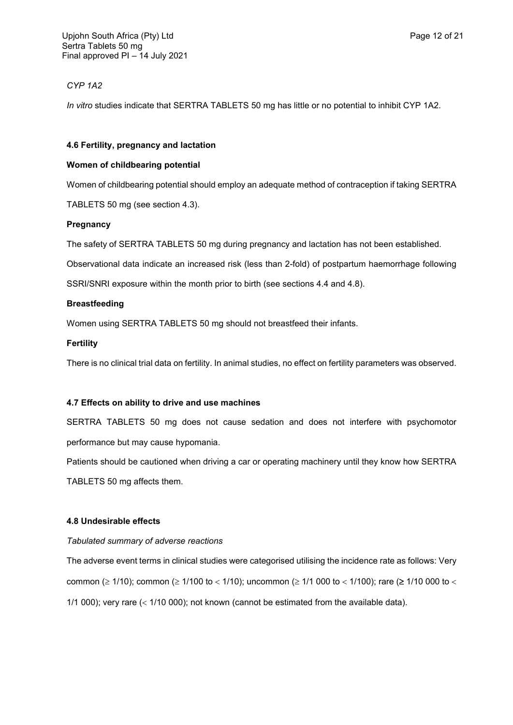## *CYP 1A2*

*In vitro* studies indicate that SERTRA TABLETS 50 mg has little or no potential to inhibit CYP 1A2.

### **4.6 Fertility, pregnancy and lactation**

### **Women of childbearing potential**

Women of childbearing potential should employ an adequate method of contraception if taking SERTRA TABLETS 50 mg (see section 4.3).

## **Pregnancy**

The safety of SERTRA TABLETS 50 mg during pregnancy and lactation has not been established.

Observational data indicate an increased risk (less than 2-fold) of postpartum haemorrhage following SSRI/SNRI exposure within the month prior to birth (see sections 4.4 and 4.8).

### **Breastfeeding**

Women using SERTRA TABLETS 50 mg should not breastfeed their infants.

### **Fertility**

There is no clinical trial data on fertility. In animal studies, no effect on fertility parameters was observed.

## **4.7 Effects on ability to drive and use machines**

SERTRA TABLETS 50 mg does not cause sedation and does not interfere with psychomotor performance but may cause hypomania.

Patients should be cautioned when driving a car or operating machinery until they know how SERTRA

TABLETS 50 mg affects them.

### **4.8 Undesirable effects**

### *Tabulated summary of adverse reactions*

The adverse event terms in clinical studies were categorised utilising the incidence rate as follows: Very common ( $\geq$  1/10); common ( $\geq$  1/100 to < 1/10); uncommon ( $\geq$  1/1 000 to < 1/100); rare ( $\geq$  1/10 000 to < 1/1 000); very rare  $\left( < 1/10 000 \right)$ ; not known (cannot be estimated from the available data).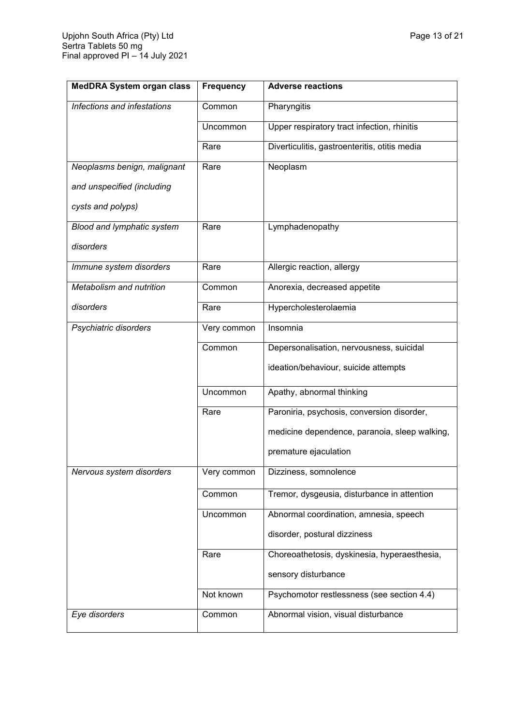| <b>MedDRA System organ class</b> | <b>Frequency</b> | <b>Adverse reactions</b>                      |
|----------------------------------|------------------|-----------------------------------------------|
| Infections and infestations      | Common           | Pharyngitis                                   |
|                                  | Uncommon         | Upper respiratory tract infection, rhinitis   |
|                                  | Rare             | Diverticulitis, gastroenteritis, otitis media |
| Neoplasms benign, malignant      | Rare             | Neoplasm                                      |
| and unspecified (including       |                  |                                               |
| cysts and polyps)                |                  |                                               |
| Blood and lymphatic system       | Rare             | Lymphadenopathy                               |
| disorders                        |                  |                                               |
| Immune system disorders          | Rare             | Allergic reaction, allergy                    |
| Metabolism and nutrition         | Common           | Anorexia, decreased appetite                  |
| disorders                        | Rare             | Hypercholesterolaemia                         |
| Psychiatric disorders            | Very common      | Insomnia                                      |
|                                  | Common           | Depersonalisation, nervousness, suicidal      |
|                                  |                  | ideation/behaviour, suicide attempts          |
|                                  | Uncommon         | Apathy, abnormal thinking                     |
|                                  | Rare             | Paroniria, psychosis, conversion disorder,    |
|                                  |                  | medicine dependence, paranoia, sleep walking, |
|                                  |                  | premature ejaculation                         |
| Nervous system disorders         | Very common      | Dizziness, somnolence                         |
|                                  | Common           | Tremor, dysgeusia, disturbance in attention   |
|                                  | Uncommon         | Abnormal coordination, amnesia, speech        |
|                                  |                  | disorder, postural dizziness                  |
|                                  | Rare             | Choreoathetosis, dyskinesia, hyperaesthesia,  |
|                                  |                  | sensory disturbance                           |
|                                  | Not known        | Psychomotor restlessness (see section 4.4)    |
| Eye disorders                    | Common           | Abnormal vision, visual disturbance           |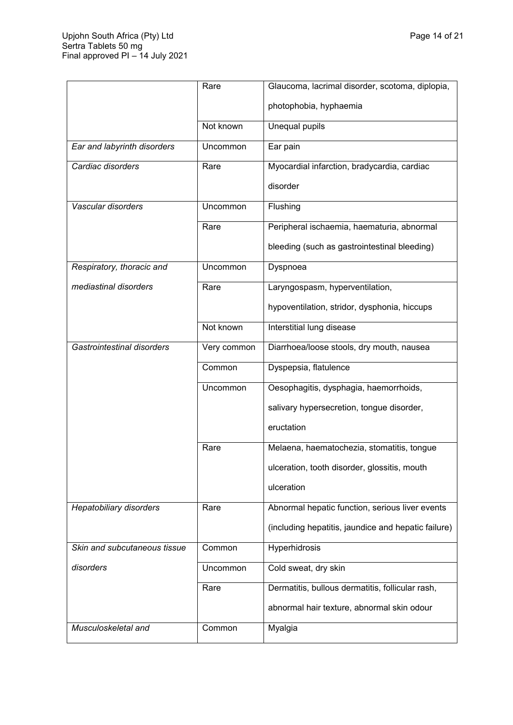'n

|                                | Rare        | Glaucoma, lacrimal disorder, scotoma, diplopia,     |
|--------------------------------|-------------|-----------------------------------------------------|
|                                |             | photophobia, hyphaemia                              |
|                                | Not known   | Unequal pupils                                      |
| Ear and labyrinth disorders    | Uncommon    | Ear pain                                            |
| Cardiac disorders              | Rare        | Myocardial infarction, bradycardia, cardiac         |
|                                |             | disorder                                            |
| Vascular disorders             | Uncommon    | Flushing                                            |
|                                | Rare        | Peripheral ischaemia, haematuria, abnormal          |
|                                |             | bleeding (such as gastrointestinal bleeding)        |
| Respiratory, thoracic and      | Uncommon    | Dyspnoea                                            |
| mediastinal disorders          | Rare        | Laryngospasm, hyperventilation,                     |
|                                |             | hypoventilation, stridor, dysphonia, hiccups        |
|                                | Not known   | Interstitial lung disease                           |
| Gastrointestinal disorders     | Very common | Diarrhoea/loose stools, dry mouth, nausea           |
|                                | Common      | Dyspepsia, flatulence                               |
|                                | Uncommon    | Oesophagitis, dysphagia, haemorrhoids,              |
|                                |             | salivary hypersecretion, tongue disorder,           |
|                                |             | eructation                                          |
|                                | Rare        | Melaena, haematochezia, stomatitis, tongue          |
|                                |             | ulceration, tooth disorder, glossitis, mouth        |
|                                |             | ulceration                                          |
| <b>Hepatobiliary disorders</b> | Rare        | Abnormal hepatic function, serious liver events     |
|                                |             | (including hepatitis, jaundice and hepatic failure) |
| Skin and subcutaneous tissue   | Common      | <b>Hyperhidrosis</b>                                |
| disorders                      | Uncommon    | Cold sweat, dry skin                                |
|                                | Rare        | Dermatitis, bullous dermatitis, follicular rash,    |
|                                |             | abnormal hair texture, abnormal skin odour          |
| Musculoskeletal and            | Common      | Myalgia                                             |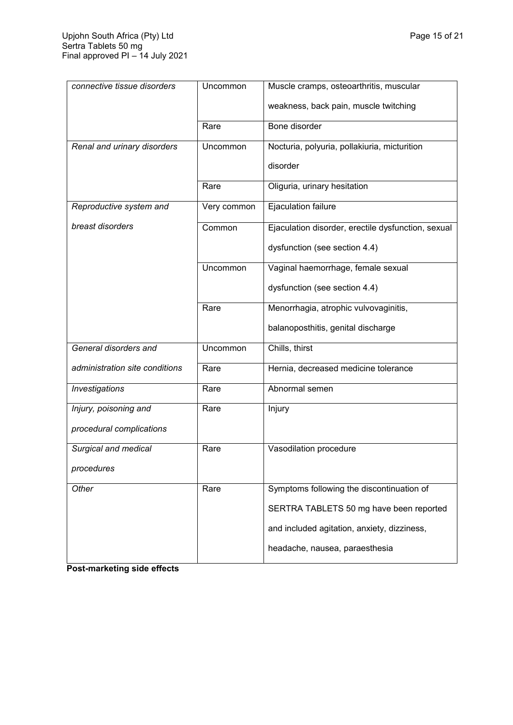| connective tissue disorders    | Uncommon    | Muscle cramps, osteoarthritis, muscular            |
|--------------------------------|-------------|----------------------------------------------------|
|                                |             | weakness, back pain, muscle twitching              |
|                                | Rare        | Bone disorder                                      |
| Renal and urinary disorders    | Uncommon    | Nocturia, polyuria, pollakiuria, micturition       |
|                                |             | disorder                                           |
|                                | Rare        | Oliguria, urinary hesitation                       |
| Reproductive system and        | Very common | Ejaculation failure                                |
| breast disorders               | Common      | Ejaculation disorder, erectile dysfunction, sexual |
|                                |             | dysfunction (see section 4.4)                      |
|                                | Uncommon    | Vaginal haemorrhage, female sexual                 |
|                                |             | dysfunction (see section 4.4)                      |
|                                | Rare        | Menorrhagia, atrophic vulvovaginitis,              |
|                                |             | balanoposthitis, genital discharge                 |
| General disorders and          | Uncommon    | Chills, thirst                                     |
| administration site conditions | Rare        | Hernia, decreased medicine tolerance               |
| Investigations                 | Rare        | Abnormal semen                                     |
| Injury, poisoning and          | Rare        | Injury                                             |
| procedural complications       |             |                                                    |
| Surgical and medical           | Rare        | Vasodilation procedure                             |
| procedures                     |             |                                                    |
| Other                          | Rare        | Symptoms following the discontinuation of          |
|                                |             | SERTRA TABLETS 50 mg have been reported            |
|                                |             | and included agitation, anxiety, dizziness,        |
|                                |             | headache, nausea, paraesthesia                     |

**Post-marketing side effects**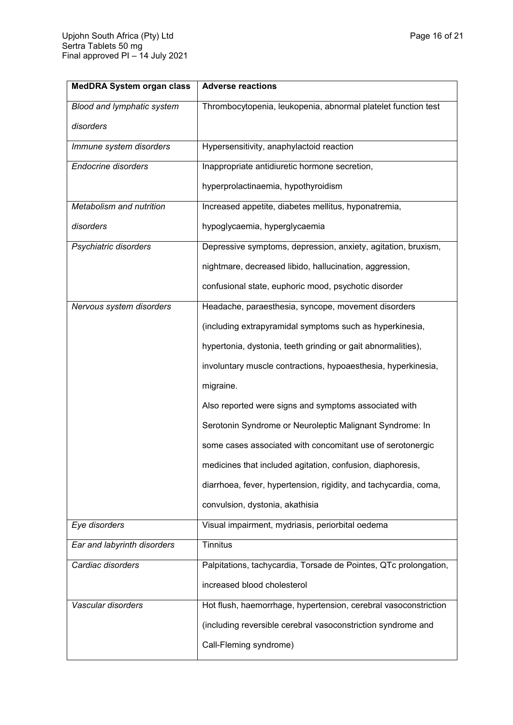| <b>MedDRA System organ class</b> | <b>Adverse reactions</b>                                         |  |
|----------------------------------|------------------------------------------------------------------|--|
| Blood and lymphatic system       | Thrombocytopenia, leukopenia, abnormal platelet function test    |  |
| disorders                        |                                                                  |  |
| Immune system disorders          | Hypersensitivity, anaphylactoid reaction                         |  |
| <b>Endocrine disorders</b>       | Inappropriate antidiuretic hormone secretion,                    |  |
|                                  | hyperprolactinaemia, hypothyroidism                              |  |
| Metabolism and nutrition         | Increased appetite, diabetes mellitus, hyponatremia,             |  |
| disorders                        | hypoglycaemia, hyperglycaemia                                    |  |
| Psychiatric disorders            | Depressive symptoms, depression, anxiety, agitation, bruxism,    |  |
|                                  | nightmare, decreased libido, hallucination, aggression,          |  |
|                                  | confusional state, euphoric mood, psychotic disorder             |  |
| Nervous system disorders         | Headache, paraesthesia, syncope, movement disorders              |  |
|                                  | (including extrapyramidal symptoms such as hyperkinesia,         |  |
|                                  | hypertonia, dystonia, teeth grinding or gait abnormalities),     |  |
|                                  | involuntary muscle contractions, hypoaesthesia, hyperkinesia,    |  |
|                                  | migraine.                                                        |  |
|                                  | Also reported were signs and symptoms associated with            |  |
|                                  | Serotonin Syndrome or Neuroleptic Malignant Syndrome: In         |  |
|                                  | some cases associated with concomitant use of serotonergic       |  |
|                                  | medicines that included agitation, confusion, diaphoresis,       |  |
|                                  | diarrhoea, fever, hypertension, rigidity, and tachycardia, coma, |  |
|                                  | convulsion, dystonia, akathisia                                  |  |
| Eye disorders                    | Visual impairment, mydriasis, periorbital oedema                 |  |
| Ear and labyrinth disorders      | <b>Tinnitus</b>                                                  |  |
| Cardiac disorders                | Palpitations, tachycardia, Torsade de Pointes, QTc prolongation, |  |
|                                  | increased blood cholesterol                                      |  |
| Vascular disorders               | Hot flush, haemorrhage, hypertension, cerebral vasoconstriction  |  |
|                                  | (including reversible cerebral vasoconstriction syndrome and     |  |
|                                  | Call-Fleming syndrome)                                           |  |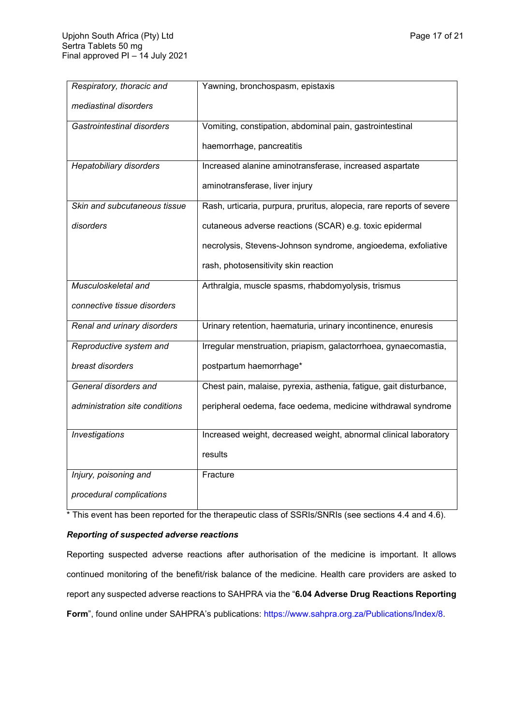| Respiratory, thoracic and      | Yawning, bronchospasm, epistaxis                                     |
|--------------------------------|----------------------------------------------------------------------|
| mediastinal disorders          |                                                                      |
| Gastrointestinal disorders     | Vomiting, constipation, abdominal pain, gastrointestinal             |
|                                | haemorrhage, pancreatitis                                            |
| Hepatobiliary disorders        | Increased alanine aminotransferase, increased aspartate              |
|                                | aminotransferase, liver injury                                       |
| Skin and subcutaneous tissue   | Rash, urticaria, purpura, pruritus, alopecia, rare reports of severe |
| disorders                      | cutaneous adverse reactions (SCAR) e.g. toxic epidermal              |
|                                | necrolysis, Stevens-Johnson syndrome, angioedema, exfoliative        |
|                                | rash, photosensitivity skin reaction                                 |
| Musculoskeletal and            | Arthralgia, muscle spasms, rhabdomyolysis, trismus                   |
| connective tissue disorders    |                                                                      |
| Renal and urinary disorders    | Urinary retention, haematuria, urinary incontinence, enuresis        |
| Reproductive system and        | Irregular menstruation, priapism, galactorrhoea, gynaecomastia,      |
| breast disorders               | postpartum haemorrhage*                                              |
| General disorders and          | Chest pain, malaise, pyrexia, asthenia, fatigue, gait disturbance,   |
| administration site conditions | peripheral oedema, face oedema, medicine withdrawal syndrome         |
| <b>Investigations</b>          | Increased weight, decreased weight, abnormal clinical laboratory     |
|                                | results                                                              |
| Injury, poisoning and          | Fracture                                                             |
| procedural complications       |                                                                      |

\* This event has been reported for the therapeutic class of SSRIs/SNRIs (see sections 4.4 and 4.6).

# *Reporting of suspected adverse reactions*

Reporting suspected adverse reactions after authorisation of the medicine is important. It allows continued monitoring of the benefit/risk balance of the medicine. Health care providers are asked to report any suspected adverse reactions to SAHPRA via the "**6.04 Adverse Drug Reactions Reporting**  Form", found online under SAHPRA's publications:<https://www.sahpra.org.za/Publications/Index/8>.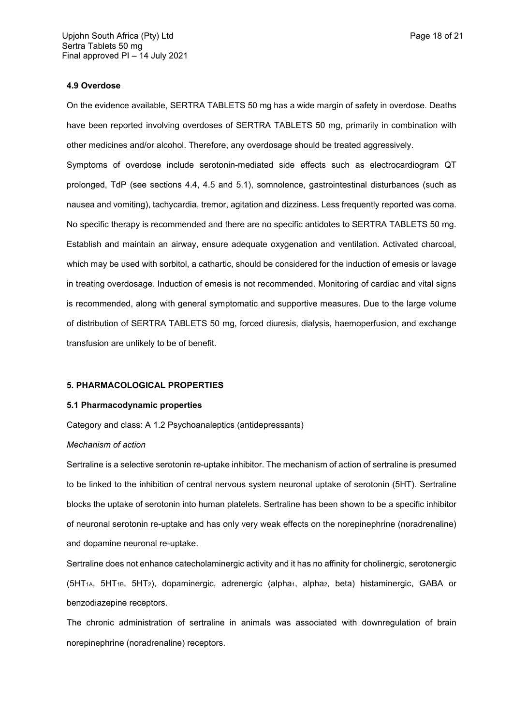### **4.9 Overdose**

On the evidence available, SERTRA TABLETS 50 mg has a wide margin of safety in overdose. Deaths have been reported involving overdoses of SERTRA TABLETS 50 mg, primarily in combination with other medicines and/or alcohol. Therefore, any overdosage should be treated aggressively.

Symptoms of overdose include serotonin-mediated side effects such as electrocardiogram QT prolonged, TdP (see sections 4.4, 4.5 and 5.1), somnolence, gastrointestinal disturbances (such as nausea and vomiting), tachycardia, tremor, agitation and dizziness. Less frequently reported was coma. No specific therapy is recommended and there are no specific antidotes to SERTRA TABLETS 50 mg. Establish and maintain an airway, ensure adequate oxygenation and ventilation. Activated charcoal, which may be used with sorbitol, a cathartic, should be considered for the induction of emesis or lavage in treating overdosage. Induction of emesis is not recommended. Monitoring of cardiac and vital signs is recommended, along with general symptomatic and supportive measures. Due to the large volume of distribution of SERTRA TABLETS 50 mg, forced diuresis, dialysis, haemoperfusion, and exchange transfusion are unlikely to be of benefit.

#### **5. PHARMACOLOGICAL PROPERTIES**

### **5.1 Pharmacodynamic properties**

Category and class: A 1.2 Psychoanaleptics (antidepressants)

#### *Mechanism of action*

Sertraline is a selective serotonin re-uptake inhibitor. The mechanism of action of sertraline is presumed to be linked to the inhibition of central nervous system neuronal uptake of serotonin (5HT). Sertraline blocks the uptake of serotonin into human platelets. Sertraline has been shown to be a specific inhibitor of neuronal serotonin re-uptake and has only very weak effects on the norepinephrine (noradrenaline) and dopamine neuronal re-uptake.

Sertraline does not enhance catecholaminergic activity and it has no affinity for cholinergic, serotonergic (5HT<sub>1A</sub>, 5HT<sub>1B</sub>, 5HT<sub>2</sub>), dopaminergic, adrenergic (alpha<sub>1</sub>, alpha<sub>2</sub>, beta) histaminergic, GABA or benzodiazepine receptors.

The chronic administration of sertraline in animals was associated with downregulation of brain norepinephrine (noradrenaline) receptors.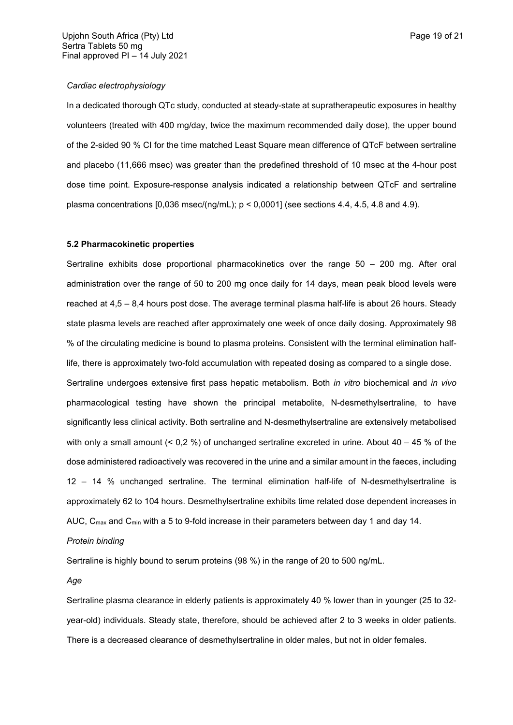### *Cardiac electrophysiology*

In a dedicated thorough QTc study, conducted at steady-state at supratherapeutic exposures in healthy volunteers (treated with 400 mg/day, twice the maximum recommended daily dose), the upper bound of the 2-sided 90 % CI for the time matched Least Square mean difference of QTcF between sertraline and placebo (11,666 msec) was greater than the predefined threshold of 10 msec at the 4-hour post dose time point. Exposure-response analysis indicated a relationship between QTcF and sertraline plasma concentrations  $[0,036$  msec/(ng/mL);  $p < 0,0001$  (see sections 4.4, 4.5, 4.8 and 4.9).

## **5.2 Pharmacokinetic properties**

Sertraline exhibits dose proportional pharmacokinetics over the range 50 – 200 mg. After oral administration over the range of 50 to 200 mg once daily for 14 days, mean peak blood levels were reached at 4,5 – 8,4 hours post dose. The average terminal plasma half-life is about 26 hours. Steady state plasma levels are reached after approximately one week of once daily dosing. Approximately 98 % of the circulating medicine is bound to plasma proteins. Consistent with the terminal elimination halflife, there is approximately two-fold accumulation with repeated dosing as compared to a single dose. Sertraline undergoes extensive first pass hepatic metabolism. Both *in vitro* biochemical and *in vivo* pharmacological testing have shown the principal metabolite, N-desmethylsertraline, to have significantly less clinical activity. Both sertraline and N-desmethylsertraline are extensively metabolised with only a small amount  $(0.2\%)$  of unchanged sertraline excreted in urine. About  $40 - 45\%$  of the dose administered radioactively was recovered in the urine and a similar amount in the faeces, including 12 – 14 % unchanged sertraline. The terminal elimination half-life of N-desmethylsertraline is approximately 62 to 104 hours. Desmethylsertraline exhibits time related dose dependent increases in AUC,  $C_{\text{max}}$  and  $C_{\text{min}}$  with a 5 to 9-fold increase in their parameters between day 1 and day 14.

### *Protein binding*

Sertraline is highly bound to serum proteins (98 %) in the range of 20 to 500 ng/mL.

*Age*

Sertraline plasma clearance in elderly patients is approximately 40 % lower than in younger (25 to 32 year-old) individuals. Steady state, therefore, should be achieved after 2 to 3 weeks in older patients. There is a decreased clearance of desmethylsertraline in older males, but not in older females.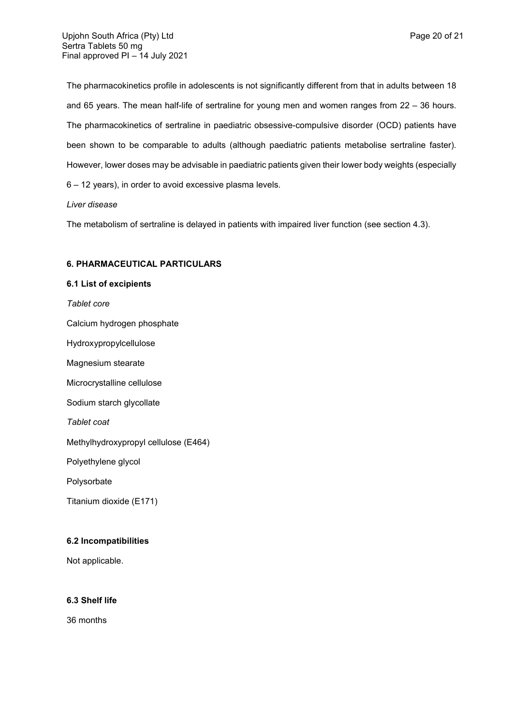The pharmacokinetics profile in adolescents is not significantly different from that in adults between 18 and 65 years. The mean half-life of sertraline for young men and women ranges from 22 – 36 hours. The pharmacokinetics of sertraline in paediatric obsessive-compulsive disorder (OCD) patients have been shown to be comparable to adults (although paediatric patients metabolise sertraline faster). However, lower doses may be advisable in paediatric patients given their lower body weights (especially 6 – 12 years), in order to avoid excessive plasma levels.

## *Liver disease*

The metabolism of sertraline is delayed in patients with impaired liver function (see section 4.3).

## **6. PHARMACEUTICAL PARTICULARS**

# **6.1 List of excipients**

*Tablet core*

Calcium hydrogen phosphate

Hydroxypropylcellulose

Magnesium stearate

Microcrystalline cellulose

Sodium starch glycollate

*Tablet coat*

Methylhydroxypropyl cellulose (E464)

Polyethylene glycol

Polysorbate

Titanium dioxide (E171)

## **6.2 Incompatibilities**

Not applicable.

## **6.3 Shelf life**

36 months